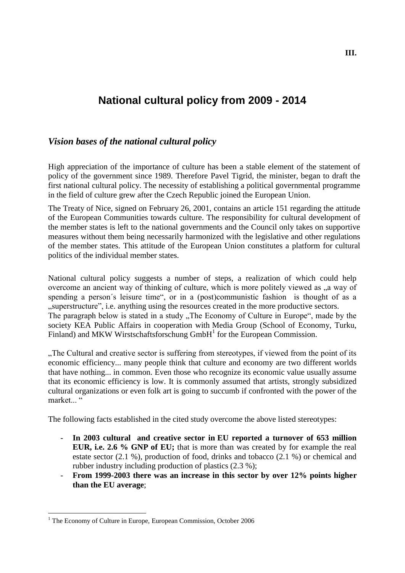# **National cultural policy from 2009 - 2014**

# *Vision bases of the national cultural policy*

High appreciation of the importance of culture has been a stable element of the statement of policy of the government since 1989. Therefore Pavel Tigrid, the minister, began to draft the first national cultural policy. The necessity of establishing a political governmental programme in the field of culture grew after the Czech Republic joined the European Union.

The Treaty of Nice, signed on February 26, 2001, contains an article 151 regarding the attitude of the European Communities towards culture. The responsibility for cultural development of the member states is left to the national governments and the Council only takes on supportive measures without them being necessarily harmonized with the legislative and other regulations of the member states. This attitude of the European Union constitutes a platform for cultural politics of the individual member states.

National cultural policy suggests a number of steps, a realization of which could help overcome an ancient way of thinking of culture, which is more politely viewed as  $\alpha$  way of spending a person's leisure time", or in a (post)communistic fashion is thought of as a "superstructure", i.e. anything using the resources created in the more productive sectors. The paragraph below is stated in a study "The Economy of Culture in Europe", made by the society KEA Public Affairs in cooperation with Media Group (School of Economy, Turku, Finland) and MKW Wirstschaftsforschung  $GmbH<sup>1</sup>$  for the European Commission.

"The Cultural and creative sector is suffering from stereotypes, if viewed from the point of its economic efficiency... many people think that culture and economy are two different worlds that have nothing... in common. Even those who recognize its economic value usually assume that its economic efficiency is low. It is commonly assumed that artists, strongly subsidized cultural organizations or even folk art is going to succumb if confronted with the power of the market.<sup>"</sup>

The following facts established in the cited study overcome the above listed stereotypes:

- **In 2003 cultural and creative sector in EU reported a turnover of 653 million EUR, i.e. 2.6 % GNP of EU;** that is more than was created by for example the real estate sector (2.1 %), production of food, drinks and tobacco (2.1 %) or chemical and rubber industry including production of plastics (2.3 %);
- **From 1999-2003 there was an increase in this sector by over 12% points higher than the EU average**;

1

 $1$  The Economy of Culture in Europe, European Commission, October 2006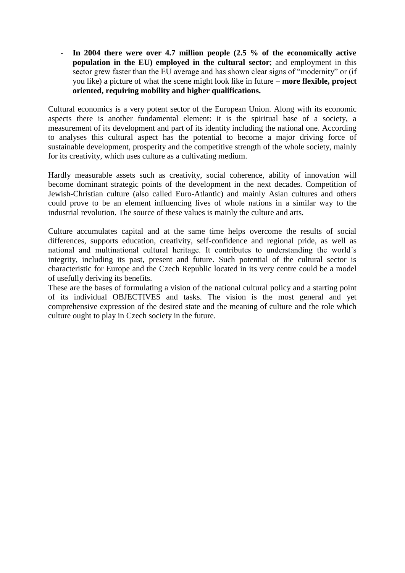- **In 2004 there were over 4.7 million people (2.5 % of the economically active population in the EU) employed in the cultural sector**; and employment in this sector grew faster than the EU average and has shown clear signs of "modernity" or (if you like) a picture of what the scene might look like in future – **more flexible, project oriented, requiring mobility and higher qualifications.** 

Cultural economics is a very potent sector of the European Union. Along with its economic aspects there is another fundamental element: it is the spiritual base of a society, a measurement of its development and part of its identity including the national one. According to analyses this cultural aspect has the potential to become a major driving force of sustainable development, prosperity and the competitive strength of the whole society, mainly for its creativity, which uses culture as a cultivating medium.

Hardly measurable assets such as creativity, social coherence, ability of innovation will become dominant strategic points of the development in the next decades. Competition of Jewish-Christian culture (also called Euro-Atlantic) and mainly Asian cultures and others could prove to be an element influencing lives of whole nations in a similar way to the industrial revolution. The source of these values is mainly the culture and arts.

Culture accumulates capital and at the same time helps overcome the results of social differences, supports education, creativity, self-confidence and regional pride, as well as national and multinational cultural heritage. It contributes to understanding the world´s integrity, including its past, present and future. Such potential of the cultural sector is characteristic for Europe and the Czech Republic located in its very centre could be a model of usefully deriving its benefits.

These are the bases of formulating a vision of the national cultural policy and a starting point of its individual OBJECTIVES and tasks. The vision is the most general and yet comprehensive expression of the desired state and the meaning of culture and the role which culture ought to play in Czech society in the future.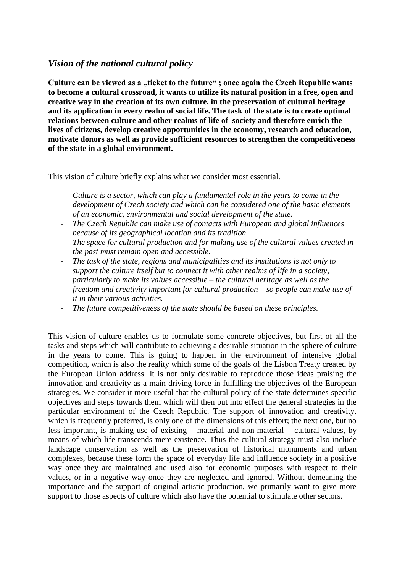# *Vision of the national cultural policy*

Culture can be viewed as a "ticket to the future"; once again the Czech Republic wants **to become a cultural crossroad, it wants to utilize its natural position in a free, open and creative way in the creation of its own culture, in the preservation of cultural heritage and its application in every realm of social life. The task of the state is to create optimal relations between culture and other realms of life of society and therefore enrich the lives of citizens, develop creative opportunities in the economy, research and education, motivate donors as well as provide sufficient resources to strengthen the competitiveness of the state in a global environment.**

This vision of culture briefly explains what we consider most essential.

- *Culture is a sector, which can play a fundamental role in the years to come in the development of Czech society and which can be considered one of the basic elements of an economic, environmental and social development of the state.*
- *The Czech Republic can make use of contacts with European and global influences because of its geographical location and its tradition.*
- *The space for cultural production and for making use of the cultural values created in the past must remain open and accessible.*
- *The task of the state, regions and municipalities and its institutions is not only to support the culture itself but to connect it with other realms of life in a society, particularly to make its values accessible – the cultural heritage as well as the freedom and creativity important for cultural production – so people can make use of it in their various activities.*
- The future competitiveness of the state should be based on these principles.

This vision of culture enables us to formulate some concrete objectives, but first of all the tasks and steps which will contribute to achieving a desirable situation in the sphere of culture in the years to come. This is going to happen in the environment of intensive global competition, which is also the reality which some of the goals of the Lisbon Treaty created by the European Union address. It is not only desirable to reproduce those ideas praising the innovation and creativity as a main driving force in fulfilling the objectives of the European strategies. We consider it more useful that the cultural policy of the state determines specific objectives and steps towards them which will then put into effect the general strategies in the particular environment of the Czech Republic. The support of innovation and creativity, which is frequently preferred, is only one of the dimensions of this effort; the next one, but no less important, is making use of existing – material and non-material – cultural values, by means of which life transcends mere existence. Thus the cultural strategy must also include landscape conservation as well as the preservation of historical monuments and urban complexes, because these form the space of everyday life and influence society in a positive way once they are maintained and used also for economic purposes with respect to their values, or in a negative way once they are neglected and ignored. Without demeaning the importance and the support of original artistic production, we primarily want to give more support to those aspects of culture which also have the potential to stimulate other sectors.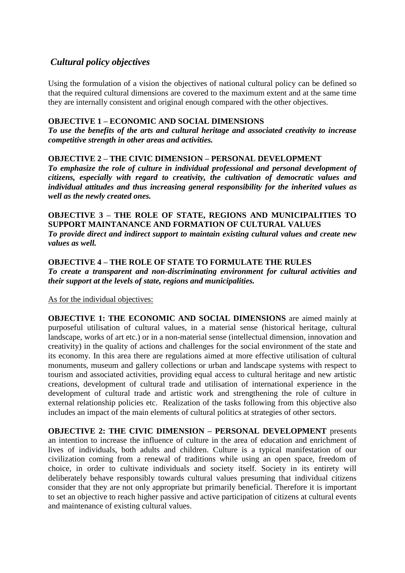# *Cultural policy objectives*

Using the formulation of a vision the objectives of national cultural policy can be defined so that the required cultural dimensions are covered to the maximum extent and at the same time they are internally consistent and original enough compared with the other objectives.

# **OBJECTIVE 1 – ECONOMIC AND SOCIAL DIMENSIONS**

*To use the benefits of the arts and cultural heritage and associated creativity to increase competitive strength in other areas and activities.* 

#### **OBJECTIVE 2 – THE CIVIC DIMENSION – PERSONAL DEVELOPMENT**

*To emphasize the role of culture in individual professional and personal development of citizens, especially with regard to creativity, the cultivation of democratic values and individual attitudes and thus increasing general responsibility for the inherited values as well as the newly created ones.* 

#### **OBJECTIVE 3 – THE ROLE OF STATE, REGIONS AND MUNICIPALITIES TO SUPPORT MAINTANANCE AND FORMATION OF CULTURAL VALUES** *To provide direct and indirect support to maintain existing cultural values and create new values as well.*

**OBJECTIVE 4 – THE ROLE OF STATE TO FORMULATE THE RULES** *To create a transparent and non-discriminating environment for cultural activities and their support at the levels of state, regions and municipalities.* 

As for the individual objectives:

**OBJECTIVE 1: THE ECONOMIC AND SOCIAL DIMENSIONS** are aimed mainly at purposeful utilisation of cultural values, in a material sense (historical heritage, cultural landscape, works of art etc.) or in a non-material sense (intellectual dimension, innovation and creativity) in the quality of actions and challenges for the social environment of the state and its economy. In this area there are regulations aimed at more effective utilisation of cultural monuments, museum and gallery collections or urban and landscape systems with respect to tourism and associated activities, providing equal access to cultural heritage and new artistic creations, development of cultural trade and utilisation of international experience in the development of cultural trade and artistic work and strengthening the role of culture in external relationship policies etc. Realization of the tasks following from this objective also includes an impact of the main elements of cultural politics at strategies of other sectors.

**OBJECTIVE 2: THE CIVIC DIMENSION – PERSONAL DEVELOPMENT** presents an intention to increase the influence of culture in the area of education and enrichment of lives of individuals, both adults and children. Culture is a typical manifestation of our civilization coming from a renewal of traditions while using an open space, freedom of choice, in order to cultivate individuals and society itself. Society in its entirety will deliberately behave responsibly towards cultural values presuming that individual citizens consider that they are not only appropriate but primarily beneficial. Therefore it is important to set an objective to reach higher passive and active participation of citizens at cultural events and maintenance of existing cultural values.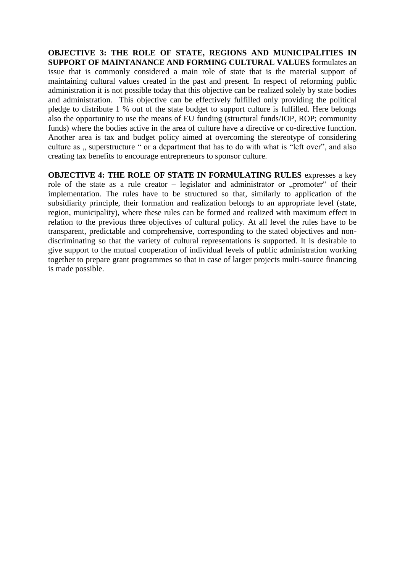**OBJECTIVE 3: THE ROLE OF STATE, REGIONS AND MUNICIPALITIES IN SUPPORT OF MAINTANANCE AND FORMING CULTURAL VALUES** formulates an issue that is commonly considered a main role of state that is the material support of maintaining cultural values created in the past and present. In respect of reforming public administration it is not possible today that this objective can be realized solely by state bodies and administration. This objective can be effectively fulfilled only providing the political pledge to distribute 1 % out of the state budget to support culture is fulfilled. Here belongs also the opportunity to use the means of EU funding (structural funds/IOP, ROP; community funds) where the bodies active in the area of culture have a directive or co-directive function. Another area is tax and budget policy aimed at overcoming the stereotype of considering culture as ... superstructure " or a department that has to do with what is "left over", and also creating tax benefits to encourage entrepreneurs to sponsor culture.

**OBJECTIVE 4: THE ROLE OF STATE IN FORMULATING RULES** expresses a key role of the state as a rule creator – legislator and administrator or "promoter" of their implementation. The rules have to be structured so that, similarly to application of the subsidiarity principle, their formation and realization belongs to an appropriate level (state, region, municipality), where these rules can be formed and realized with maximum effect in relation to the previous three objectives of cultural policy. At all level the rules have to be transparent, predictable and comprehensive, corresponding to the stated objectives and nondiscriminating so that the variety of cultural representations is supported. It is desirable to give support to the mutual cooperation of individual levels of public administration working together to prepare grant programmes so that in case of larger projects multi-source financing is made possible.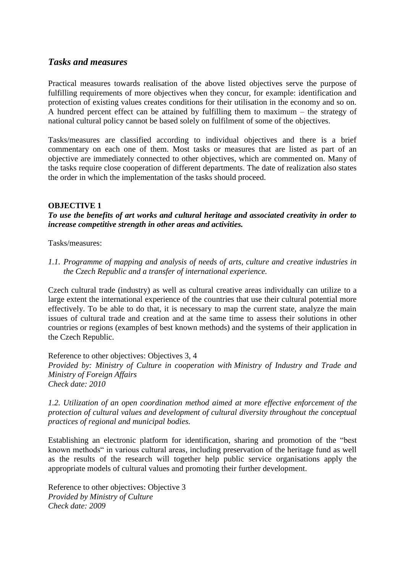# *Tasks and measures*

Practical measures towards realisation of the above listed objectives serve the purpose of fulfilling requirements of more objectives when they concur, for example: identification and protection of existing values creates conditions for their utilisation in the economy and so on. A hundred percent effect can be attained by fulfilling them to maximum – the strategy of national cultural policy cannot be based solely on fulfilment of some of the objectives.

Tasks/measures are classified according to individual objectives and there is a brief commentary on each one of them. Most tasks or measures that are listed as part of an objective are immediately connected to other objectives, which are commented on. Many of the tasks require close cooperation of different departments. The date of realization also states the order in which the implementation of the tasks should proceed.

#### **OBJECTIVE 1**

*To use the benefits of art works and cultural heritage and associated creativity in order to increase competitive strength in other areas and activities.*

Tasks/measures:

*1.1. Programme of mapping and analysis of needs of arts, culture and creative industries in the Czech Republic and a transfer of international experience.*

Czech cultural trade (industry) as well as cultural creative areas individually can utilize to a large extent the international experience of the countries that use their cultural potential more effectively. To be able to do that, it is necessary to map the current state, analyze the main issues of cultural trade and creation and at the same time to assess their solutions in other countries or regions (examples of best known methods) and the systems of their application in the Czech Republic.

Reference to other objectives: Objectives 3, 4 *Provided by: Ministry of Culture in cooperation with Ministry of Industry and Trade and Ministry of Foreign Affairs Check date: 2010*

*1.2. Utilization of an open coordination method aimed at more effective enforcement of the protection of cultural values and development of cultural diversity throughout the conceptual practices of regional and municipal bodies.*

Establishing an electronic platform for identification, sharing and promotion of the "best known methods" in various cultural areas, including preservation of the heritage fund as well as the results of the research will together help public service organisations apply the appropriate models of cultural values and promoting their further development.

Reference to other objectives: Objective 3 *Provided by Ministry of Culture Check date: 2009*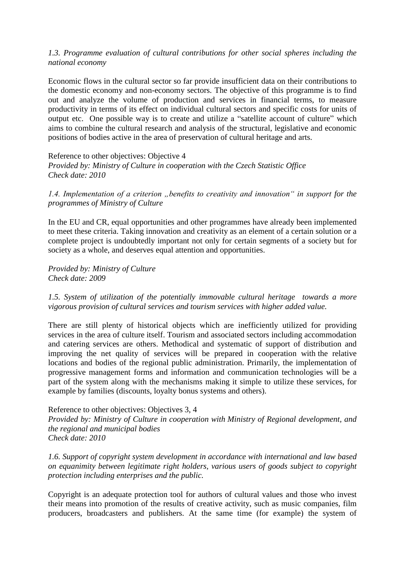#### *1.3. Programme evaluation of cultural contributions for other social spheres including the national economy*

Economic flows in the cultural sector so far provide insufficient data on their contributions to the domestic economy and non-economy sectors. The objective of this programme is to find out and analyze the volume of production and services in financial terms, to measure productivity in terms of its effect on individual cultural sectors and specific costs for units of output etc. One possible way is to create and utilize a "satellite account of culture" which aims to combine the cultural research and analysis of the structural, legislative and economic positions of bodies active in the area of preservation of cultural heritage and arts.

Reference to other objectives: Objective 4

*Provided by: Ministry of Culture in cooperation with the Czech Statistic Office Check date: 2010*

*1.4. Implementation of a criterion "benefits to creativity and innovation" in support for the programmes of Ministry of Culture*

In the EU and CR, equal opportunities and other programmes have already been implemented to meet these criteria. Taking innovation and creativity as an element of a certain solution or a complete project is undoubtedly important not only for certain segments of a society but for society as a whole, and deserves equal attention and opportunities.

*Provided by: Ministry of Culture Check date: 2009*

*1.5. System of utilization of the potentially immovable cultural heritage towards a more vigorous provision of cultural services and tourism services with higher added value.* 

There are still plenty of historical objects which are inefficiently utilized for providing services in the area of culture itself. Tourism and associated sectors including accommodation and catering services are others. Methodical and systematic of support of distribution and improving the net quality of services will be prepared in cooperation with the relative locations and bodies of the regional public administration. Primarily, the implementation of progressive management forms and information and communication technologies will be a part of the system along with the mechanisms making it simple to utilize these services, for example by families (discounts, loyalty bonus systems and others).

#### Reference to other objectives: Objectives 3, 4

*Provided by: Ministry of Culture in cooperation with Ministry of Regional development, and the regional and municipal bodies Check date: 2010*

*1.6. Support of copyright system development in accordance with international and law based on equanimity between legitimate right holders, various users of goods subject to copyright protection including enterprises and the public.*

Copyright is an adequate protection tool for authors of cultural values and those who invest their means into promotion of the results of creative activity, such as music companies, film producers, broadcasters and publishers. At the same time (for example) the system of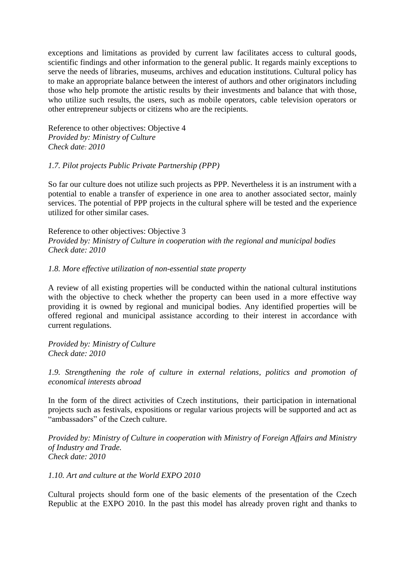exceptions and limitations as provided by current law facilitates access to cultural goods, scientific findings and other information to the general public. It regards mainly exceptions to serve the needs of libraries, museums, archives and education institutions. Cultural policy has to make an appropriate balance between the interest of authors and other originators including those who help promote the artistic results by their investments and balance that with those, who utilize such results, the users, such as mobile operators, cable television operators or other entrepreneur subjects or citizens who are the recipients.

Reference to other objectives: Objective 4 *Provided by: Ministry of Culture Check date: 2010*

#### *1.7. Pilot projects Public Private Partnership (PPP)*

So far our culture does not utilize such projects as PPP. Nevertheless it is an instrument with a potential to enable a transfer of experience in one area to another associated sector, mainly services. The potential of PPP projects in the cultural sphere will be tested and the experience utilized for other similar cases.

Reference to other objectives: Objective 3 *Provided by: Ministry of Culture in cooperation with the regional and municipal bodies Check date: 2010*

#### *1.8. More effective utilization of non-essential state property*

A review of all existing properties will be conducted within the national cultural institutions with the objective to check whether the property can been used in a more effective way providing it is owned by regional and municipal bodies. Any identified properties will be offered regional and municipal assistance according to their interest in accordance with current regulations.

*Provided by: Ministry of Culture Check date: 2010*

*1.9. Strengthening the role of culture in external relations, politics and promotion of economical interests abroad* 

In the form of the direct activities of Czech institutions, their participation in international projects such as festivals, expositions or regular various projects will be supported and act as "ambassadors" of the Czech culture.

*Provided by: Ministry of Culture in cooperation with Ministry of Foreign Affairs and Ministry of Industry and Trade. Check date: 2010*

#### *1.10. Art and culture at the World EXPO 2010*

Cultural projects should form one of the basic elements of the presentation of the Czech Republic at the EXPO 2010. In the past this model has already proven right and thanks to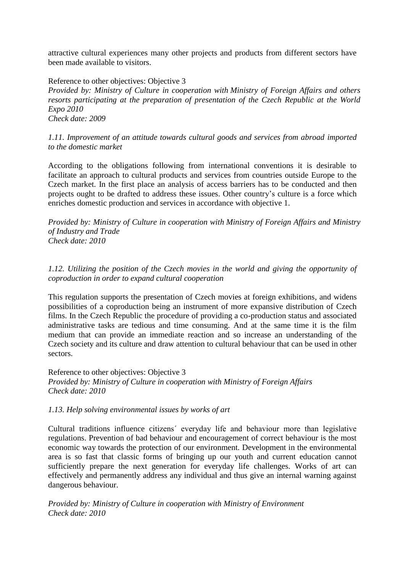attractive cultural experiences many other projects and products from different sectors have been made available to visitors.

Reference to other objectives: Objective 3

*Provided by: Ministry of Culture in cooperation with Ministry of Foreign Affairs and others resorts participating at the preparation of presentation of the Czech Republic at the World Expo 2010* 

*Check date: 2009*

## *1.11. Improvement of an attitude towards cultural goods and services from abroad imported to the domestic market*

According to the obligations following from international conventions it is desirable to facilitate an approach to cultural products and services from countries outside Europe to the Czech market. In the first place an analysis of access barriers has to be conducted and then projects ought to be drafted to address these issues. Other country's culture is a force which enriches domestic production and services in accordance with objective 1.

*Provided by: Ministry of Culture in cooperation with Ministry of Foreign Affairs and Ministry of Industry and Trade Check date: 2010*

*1.12. Utilizing the position of the Czech movies in the world and giving the opportunity of coproduction in order to expand cultural cooperation*

This regulation supports the presentation of Czech movies at foreign exhibitions, and widens possibilities of a coproduction being an instrument of more expansive distribution of Czech films. In the Czech Republic the procedure of providing a co-production status and associated administrative tasks are tedious and time consuming. And at the same time it is the film medium that can provide an immediate reaction and so increase an understanding of the Czech society and its culture and draw attention to cultural behaviour that can be used in other sectors.

Reference to other objectives: Objective 3 *Provided by: Ministry of Culture in cooperation with Ministry of Foreign Affairs Check date: 2010*

# *1.13. Help solving environmental issues by works of art*

Cultural traditions influence citizens´ everyday life and behaviour more than legislative regulations. Prevention of bad behaviour and encouragement of correct behaviour is the most economic way towards the protection of our environment. Development in the environmental area is so fast that classic forms of bringing up our youth and current education cannot sufficiently prepare the next generation for everyday life challenges. Works of art can effectively and permanently address any individual and thus give an internal warning against dangerous behaviour.

*Provided by: Ministry of Culture in cooperation with Ministry of Environment Check date: 2010*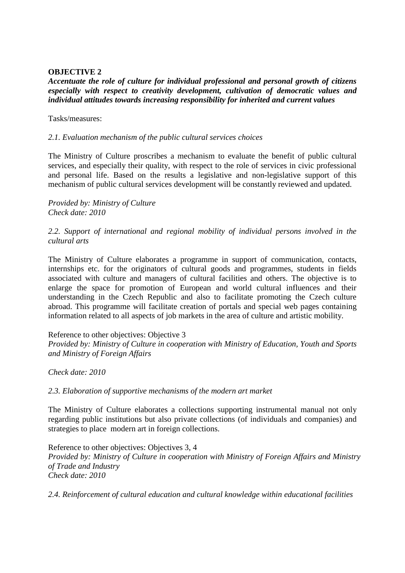#### **OBJECTIVE 2**

## *Accentuate the role of culture for individual professional and personal growth of citizens especially with respect to creativity development, cultivation of democratic values and individual attitudes towards increasing responsibility for inherited and current values*

#### Tasks/measures:

#### *2.1. Evaluation mechanism of the public cultural services choices*

The Ministry of Culture proscribes a mechanism to evaluate the benefit of public cultural services, and especially their quality, with respect to the role of services in civic professional and personal life. Based on the results a legislative and non-legislative support of this mechanism of public cultural services development will be constantly reviewed and updated.

*Provided by: Ministry of Culture Check date: 2010*

#### *2.2. Support of international and regional mobility of individual persons involved in the cultural arts*

The Ministry of Culture elaborates a programme in support of communication, contacts, internships etc. for the originators of cultural goods and programmes, students in fields associated with culture and managers of cultural facilities and others. The objective is to enlarge the space for promotion of European and world cultural influences and their understanding in the Czech Republic and also to facilitate promoting the Czech culture abroad. This programme will facilitate creation of portals and special web pages containing information related to all aspects of job markets in the area of culture and artistic mobility.

#### Reference to other objectives: Objective 3

*Provided by: Ministry of Culture in cooperation with Ministry of Education, Youth and Sports and Ministry of Foreign Affairs*

*Check date: 2010*

#### *2.3. Elaboration of supportive mechanisms of the modern art market*

The Ministry of Culture elaborates a collections supporting instrumental manual not only regarding public institutions but also private collections (of individuals and companies) and strategies to place modern art in foreign collections.

Reference to other objectives: Objectives 3, 4 *Provided by: Ministry of Culture in cooperation with Ministry of Foreign Affairs and Ministry of Trade and Industry Check date: 2010*

*2.4. Reinforcement of cultural education and cultural knowledge within educational facilities*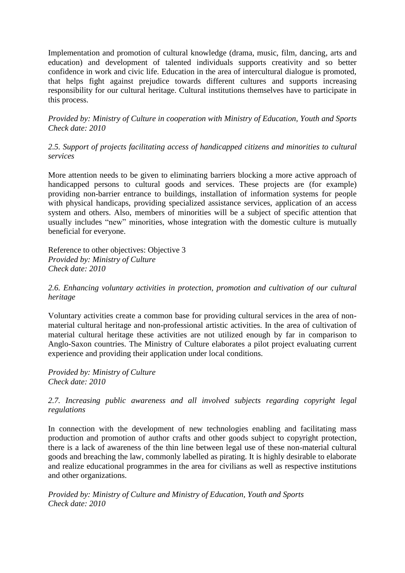Implementation and promotion of cultural knowledge (drama, music, film, dancing, arts and education) and development of talented individuals supports creativity and so better confidence in work and civic life. Education in the area of intercultural dialogue is promoted, that helps fight against prejudice towards different cultures and supports increasing responsibility for our cultural heritage. Cultural institutions themselves have to participate in this process.

*Provided by: Ministry of Culture in cooperation with Ministry of Education, Youth and Sports Check date: 2010*

*2.5. Support of projects facilitating access of handicapped citizens and minorities to cultural services* 

More attention needs to be given to eliminating barriers blocking a more active approach of handicapped persons to cultural goods and services. These projects are (for example) providing non-barrier entrance to buildings, installation of information systems for people with physical handicaps, providing specialized assistance services, application of an access system and others. Also, members of minorities will be a subject of specific attention that usually includes "new" minorities, whose integration with the domestic culture is mutually beneficial for everyone.

Reference to other objectives: Objective 3 *Provided by: Ministry of Culture Check date: 2010*

*2.6. Enhancing voluntary activities in protection, promotion and cultivation of our cultural heritage*

Voluntary activities create a common base for providing cultural services in the area of nonmaterial cultural heritage and non-professional artistic activities. In the area of cultivation of material cultural heritage these activities are not utilized enough by far in comparison to Anglo-Saxon countries. The Ministry of Culture elaborates a pilot project evaluating current experience and providing their application under local conditions.

*Provided by: Ministry of Culture Check date: 2010*

*2.7. Increasing public awareness and all involved subjects regarding copyright legal regulations*

In connection with the development of new technologies enabling and facilitating mass production and promotion of author crafts and other goods subject to copyright protection, there is a lack of awareness of the thin line between legal use of these non-material cultural goods and breaching the law, commonly labelled as pirating. It is highly desirable to elaborate and realize educational programmes in the area for civilians as well as respective institutions and other organizations.

*Provided by: Ministry of Culture and Ministry of Education, Youth and Sports Check date: 2010*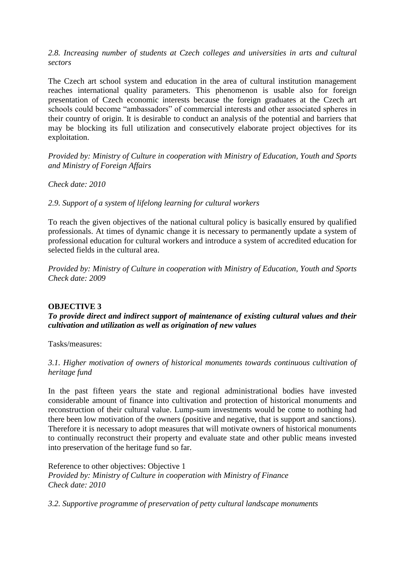2.8. Increasing number of students at Czech colleges and universities in arts and cultural *sectors*

The Czech art school system and education in the area of cultural institution management reaches international quality parameters. This phenomenon is usable also for foreign presentation of Czech economic interests because the foreign graduates at the Czech art schools could become "ambassadors" of commercial interests and other associated spheres in their country of origin. It is desirable to conduct an analysis of the potential and barriers that may be blocking its full utilization and consecutively elaborate project objectives for its exploitation.

*Provided by: Ministry of Culture in cooperation with Ministry of Education, Youth and Sports and Ministry of Foreign Affairs* 

*Check date: 2010*

*2.9. Support of a system of lifelong learning for cultural workers*

To reach the given objectives of the national cultural policy is basically ensured by qualified professionals. At times of dynamic change it is necessary to permanently update a system of professional education for cultural workers and introduce a system of accredited education for selected fields in the cultural area.

*Provided by: Ministry of Culture in cooperation with Ministry of Education, Youth and Sports Check date: 2009*

#### **OBJECTIVE 3**

*To provide direct and indirect support of maintenance of existing cultural values and their cultivation and utilization as well as origination of new values*

Tasks/measures:

# *3.1. Higher motivation of owners of historical monuments towards continuous cultivation of heritage fund*

In the past fifteen years the state and regional administrational bodies have invested considerable amount of finance into cultivation and protection of historical monuments and reconstruction of their cultural value. Lump-sum investments would be come to nothing had there been low motivation of the owners (positive and negative, that is support and sanctions). Therefore it is necessary to adopt measures that will motivate owners of historical monuments to continually reconstruct their property and evaluate state and other public means invested into preservation of the heritage fund so far.

Reference to other objectives: Objective 1 *Provided by: Ministry of Culture in cooperation with Ministry of Finance Check date: 2010*

*3.2. Supportive programme of preservation of petty cultural landscape monuments*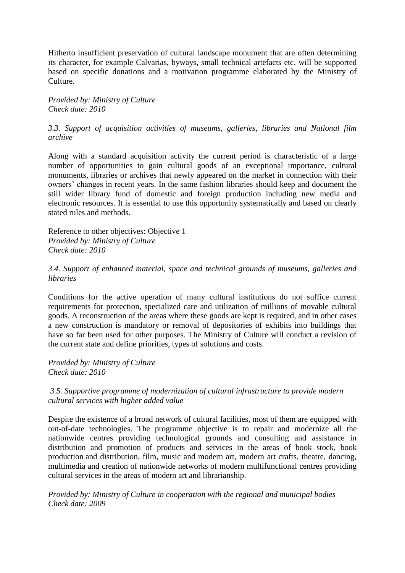Hitherto insufficient preservation of cultural landscape monument that are often determining its character, for example Calvarias, byways, small technical artefacts etc. will be supported based on specific donations and a motivation programme elaborated by the Ministry of Culture.

*Provided by: Ministry of Culture Check date: 2010*

*3.3. Support of acquisition activities of museums, galleries, libraries and National film archive*

Along with a standard acquisition activity the current period is characteristic of a large number of opportunities to gain cultural goods of an exceptional importance, cultural monuments, libraries or archives that newly appeared on the market in connection with their owners' changes in recent years. In the same fashion libraries should keep and document the still wider library fund of domestic and foreign production including new media and electronic resources. It is essential to use this opportunity systematically and based on clearly stated rules and methods.

Reference to other objectives: Objective 1 *Provided by: Ministry of Culture Check date: 2010*

*3.4. Support of enhanced material, space and technical grounds of museums, galleries and libraries*

Conditions for the active operation of many cultural institutions do not suffice current requirements for protection, specialized care and utilization of millions of movable cultural goods. A reconstruction of the areas where these goods are kept is required, and in other cases a new construction is mandatory or removal of depositories of exhibits into buildings that have so far been used for other purposes. The Ministry of Culture will conduct a revision of the current state and define priorities, types of solutions and costs.

*Provided by: Ministry of Culture Check date: 2010*

*3.5. Supportive programme of modernization of cultural infrastructure to provide modern cultural services with higher added value*

Despite the existence of a broad network of cultural facilities, most of them are equipped with out-of-date technologies. The programme objective is to repair and modernize all the nationwide centres providing technological grounds and consulting and assistance in distribution and promotion of products and services in the areas of book stock, book production and distribution, film, music and modern art, modern art crafts, theatre, dancing, multimedia and creation of nationwide networks of modern multifunctional centres providing cultural services in the areas of modern art and librarianship.

*Provided by: Ministry of Culture in cooperation with the regional and municipal bodies Check date: 2009*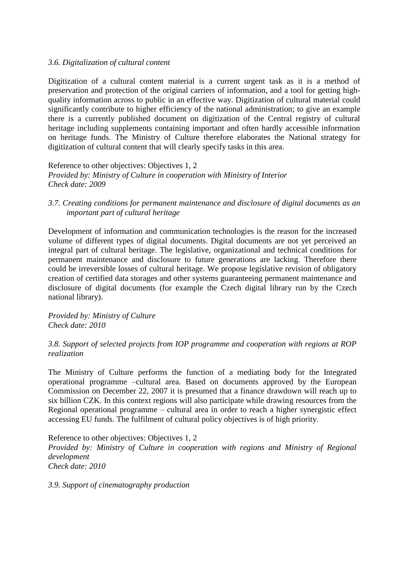#### *3.6. Digitalization of cultural content*

Digitization of a cultural content material is a current urgent task as it is a method of preservation and protection of the original carriers of information, and a tool for getting highquality information across to public in an effective way. Digitization of cultural material could significantly contribute to higher efficiency of the national administration; to give an example there is a currently published document on digitization of the Central registry of cultural heritage including supplements containing important and often hardly accessible information on heritage funds. The Ministry of Culture therefore elaborates the National strategy for digitization of cultural content that will clearly specify tasks in this area.

Reference to other objectives: Objectives 1, 2 *Provided by: Ministry of Culture in cooperation with Ministry of Interior Check date: 2009*

*3.7. Creating conditions for permanent maintenance and disclosure of digital documents as an important part of cultural heritage*

Development of information and communication technologies is the reason for the increased volume of different types of digital documents. Digital documents are not yet perceived an integral part of cultural heritage. The legislative, organizational and technical conditions for permanent maintenance and disclosure to future generations are lacking. Therefore there could be irreversible losses of cultural heritage. We propose legislative revision of obligatory creation of certified data storages and other systems guaranteeing permanent maintenance and disclosure of digital documents (for example the Czech digital library run by the Czech national library).

*Provided by: Ministry of Culture Check date: 2010*

#### *3.8. Support of selected projects from IOP programme and cooperation with regions at ROP realization*

The Ministry of Culture performs the function of a mediating body for the Integrated operational programme –cultural area. Based on documents approved by the European Commission on December 22, 2007 it is presumed that a finance drawdown will reach up to six billion CZK. In this context regions will also participate while drawing resources from the Regional operational programme – cultural area in order to reach a higher synergistic effect accessing EU funds. The fulfilment of cultural policy objectives is of high priority.

Reference to other objectives: Objectives 1, 2

*Provided by: Ministry of Culture in cooperation with regions and Ministry of Regional development*

*Check date: 2010*

*3.9. Support of cinematography production*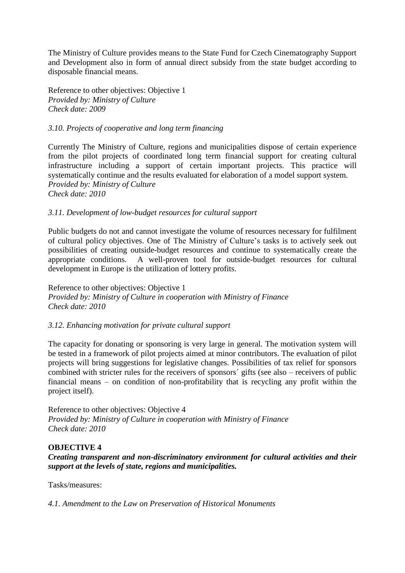The Ministry of Culture provides means to the State Fund for Czech Cinematography Support and Development also in form of annual direct subsidy from the state budget according to disposable financial means.

Reference to other objectives: Objective 1 *Provided by: Ministry of Culture Check date: 2009*

#### *3.10. Projects of cooperative and long term financing*

Currently The Ministry of Culture, regions and municipalities dispose of certain experience from the pilot projects of coordinated long term financial support for creating cultural infrastructure including a support of certain important projects. This practice will systematically continue and the results evaluated for elaboration of a model support system. *Provided by: Ministry of Culture Check date: 2010*

#### *3.11. Development of low-budget resources for cultural support*

Public budgets do not and cannot investigate the volume of resources necessary for fulfilment of cultural policy objectives. One of The Ministry of Culture's tasks is to actively seek out possibilities of creating outside-budget resources and continue to systematically create the appropriate conditions. A well-proven tool for outside-budget resources for cultural development in Europe is the utilization of lottery profits.

Reference to other objectives: Objective 1 *Provided by: Ministry of Culture in cooperation with Ministry of Finance Check date: 2010*

#### *3.12. Enhancing motivation for private cultural support*

The capacity for donating or sponsoring is very large in general. The motivation system will be tested in a framework of pilot projects aimed at minor contributors. The evaluation of pilot projects will bring suggestions for legislative changes. Possibilities of tax relief for sponsors combined with stricter rules for the receivers of sponsors´ gifts (see also – receivers of public financial means – on condition of non-profitability that is recycling any profit within the project itself).

Reference to other objectives: Objective 4 *Provided by: Ministry of Culture in cooperation with Ministry of Finance Check date: 2010*

#### **OBJECTIVE 4**

*Creating transparent and non-discriminatory environment for cultural activities and their support at the levels of state, regions and municipalities.* 

Tasks/measures:

*4.1. Amendment to the Law on Preservation of Historical Monuments*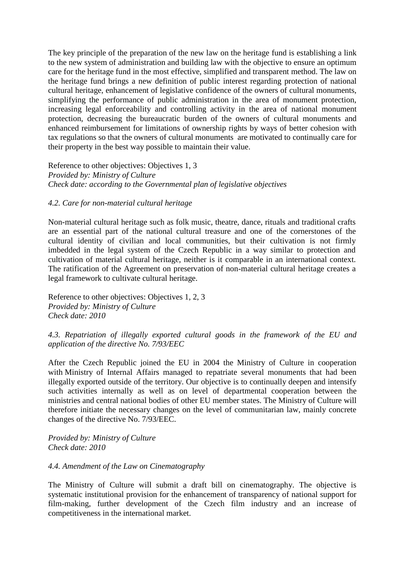The key principle of the preparation of the new law on the heritage fund is establishing a link to the new system of administration and building law with the objective to ensure an optimum care for the heritage fund in the most effective, simplified and transparent method. The law on the heritage fund brings a new definition of public interest regarding protection of national cultural heritage, enhancement of legislative confidence of the owners of cultural monuments, simplifying the performance of public administration in the area of monument protection, increasing legal enforceability and controlling activity in the area of national monument protection, decreasing the bureaucratic burden of the owners of cultural monuments and enhanced reimbursement for limitations of ownership rights by ways of better cohesion with tax regulations so that the owners of cultural monuments are motivated to continually care for their property in the best way possible to maintain their value.

Reference to other objectives: Objectives 1, 3 *Provided by: Ministry of Culture Check date: according to the Governmental plan of legislative objectives*

#### *4.2. Care for non-material cultural heritage*

Non-material cultural heritage such as folk music, theatre, dance, rituals and traditional crafts are an essential part of the national cultural treasure and one of the cornerstones of the cultural identity of civilian and local communities, but their cultivation is not firmly imbedded in the legal system of the Czech Republic in a way similar to protection and cultivation of material cultural heritage, neither is it comparable in an international context. The ratification of the Agreement on preservation of non-material cultural heritage creates a legal framework to cultivate cultural heritage.

Reference to other objectives: Objectives 1, 2, 3 *Provided by: Ministry of Culture Check date: 2010*

# *4.3. Repatriation of illegally exported cultural goods in the framework of the EU and application of the directive No. 7/93/EEC*

After the Czech Republic joined the EU in 2004 the Ministry of Culture in cooperation with Ministry of Internal Affairs managed to repatriate several monuments that had been illegally exported outside of the territory. Our objective is to continually deepen and intensify such activities internally as well as on level of departmental cooperation between the ministries and central national bodies of other EU member states. The Ministry of Culture will therefore initiate the necessary changes on the level of communitarian law, mainly concrete changes of the directive No. 7/93/EEC.

*Provided by: Ministry of Culture Check date: 2010*

#### *4.4. Amendment of the Law on Cinematography*

The Ministry of Culture will submit a draft bill on cinematography. The objective is systematic institutional provision for the enhancement of transparency of national support for film-making, further development of the Czech film industry and an increase of competitiveness in the international market.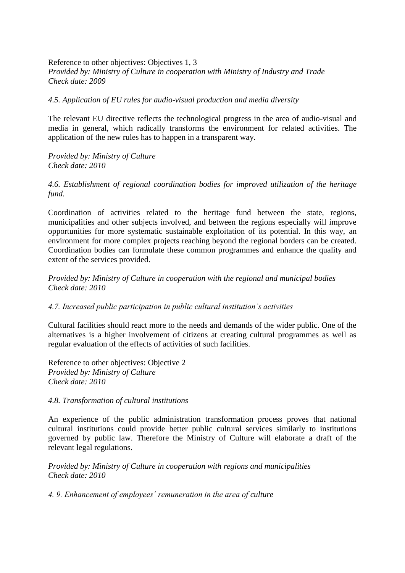Reference to other objectives: Objectives 1, 3 *Provided by: Ministry of Culture in cooperation with Ministry of Industry and Trade Check date: 2009*

#### *4.5. Application of EU rules for audio-visual production and media diversity*

The relevant EU directive reflects the technological progress in the area of audio-visual and media in general, which radically transforms the environment for related activities. The application of the new rules has to happen in a transparent way.

*Provided by: Ministry of Culture Check date: 2010*

*4.6. Establishment of regional coordination bodies for improved utilization of the heritage fund.* 

Coordination of activities related to the heritage fund between the state, regions, municipalities and other subjects involved, and between the regions especially will improve opportunities for more systematic sustainable exploitation of its potential. In this way, an environment for more complex projects reaching beyond the regional borders can be created. Coordination bodies can formulate these common programmes and enhance the quality and extent of the services provided.

*Provided by: Ministry of Culture in cooperation with the regional and municipal bodies Check date: 2010*

#### *4.7. Increased public participation in public cultural institution's activities*

Cultural facilities should react more to the needs and demands of the wider public. One of the alternatives is a higher involvement of citizens at creating cultural programmes as well as regular evaluation of the effects of activities of such facilities.

Reference to other objectives: Objective 2 *Provided by: Ministry of Culture Check date: 2010*

#### *4.8. Transformation of cultural institutions*

An experience of the public administration transformation process proves that national cultural institutions could provide better public cultural services similarly to institutions governed by public law. Therefore the Ministry of Culture will elaborate a draft of the relevant legal regulations.

*Provided by: Ministry of Culture in cooperation with regions and municipalities Check date: 2010*

*4. 9. Enhancement of employees´ remuneration in the area of culture*